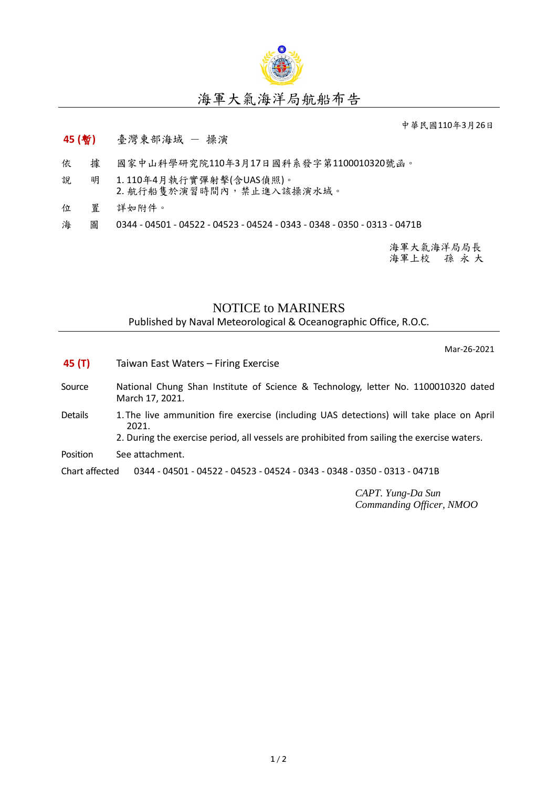

## 海軍大氣海洋局航船布告

中華民國110年3月26日

## **45 (**暫**)** 臺灣東部海域 - 操演

- 依 據 國家中山科學研究院110年3月17日國科系發字第1100010320號函。
- 說 明 1. 110年4月執行實彈射擊(含UAS偵照)。 2. 航行船隻於演習時間內,禁止進入該操演水域。
- 位 置 詳如附件。
- 海 圖 0344 04501 04522 04523 04524 0343 0348 0350 0313 0471B

海軍大氣海洋局局長 海軍上校 孫 永 大

## NOTICE to MARINERS

Published by Naval Meteorological & Oceanographic Office, R.O.C.

Mar-26-2021

- **45 (T)** Taiwan East Waters Firing Exercise
- Source National Chung Shan Institute of Science & Technology, letter No. 1100010320 dated March 17, 2021.
- Details 1. The live ammunition fire exercise (including UAS detections) will take place on April 2021.
	- 2. During the exercise period, all vessels are prohibited from sailing the exercise waters.
- Position See attachment.

Chart affected 0344 - 04501 - 04522 - 04523 - 04524 - 0343 - 0348 - 0350 - 0313 - 0471B

*CAPT. Yung-Da Sun Commanding Officer, NMOO*